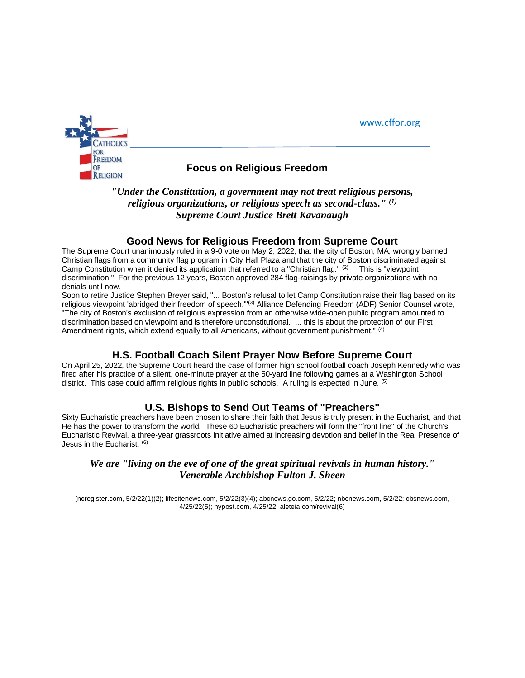



# **OF COLLA COLLA EXAMPLE FOCUS ON RELIGION**<br>RELIGION

*"Under the Constitution, a government may not treat religious persons, religious organizations, or religious speech as second-class." (1) Supreme Court Justice Brett Kavanaugh*

#### **Good News for Religious Freedom from Supreme Court**

The Supreme Court unanimously ruled in a 9-0 vote on May 2, 2022, that the city of Boston, MA, wrongly banned Christian flags from a community flag program in City Hall Plaza and that the city of Boston discriminated against Camp Constitution when it denied its application that referred to a "Christian flag." (2) This is "viewpoint discrimination." For the previous 12 years, Boston approved 284 flag-raisings by private organizations with no denials until now.

Soon to retire Justice Stephen Breyer said, "... Boston's refusal to let Camp Constitution raise their flag based on its religious viewpoint 'abridged their freedom of speech."<sup>(3)</sup> Alliance Defending Freedom (ADF) Senior Counsel wrote, "The city of Boston's exclusion of religious expression from an otherwise wide-open public program amounted to discrimination based on viewpoint and is therefore unconstitutional. ... this is about the protection of our First Amendment rights, which extend equally to all Americans, without government punishment." (4)

## **H.S. Football Coach Silent Prayer Now Before Supreme Court**

On April 25, 2022, the Supreme Court heard the case of former high school football coach Joseph Kennedy who was fired after his practice of a silent, one-minute prayer at the 50-yard line following games at a Washington School district. This case could affirm religious rights in public schools. A ruling is expected in June. (5)

## **U.S. Bishops to Send Out Teams of "Preachers"**

Sixty Eucharistic preachers have been chosen to share their faith that Jesus is truly present in the Eucharist, and that He has the power to transform the world. These 60 Eucharistic preachers will form the "front line" of the Church's Eucharistic Revival, a three-year grassroots initiative aimed at increasing devotion and belief in the Real Presence of Jesus in the Eucharist. (6)

### *We are "living on the eve of one of the great spiritual revivals in human history." Venerable Archbishop Fulton J. Sheen*

(ncregister.com, 5/2/22(1)(2); lifesitenews.com, 5/2/22(3)(4); abcnews.go.com, 5/2/22; nbcnews.com, 5/2/22; cbsnews.com, 4/25/22(5); nypost.com, 4/25/22; aleteia.com/revival(6)